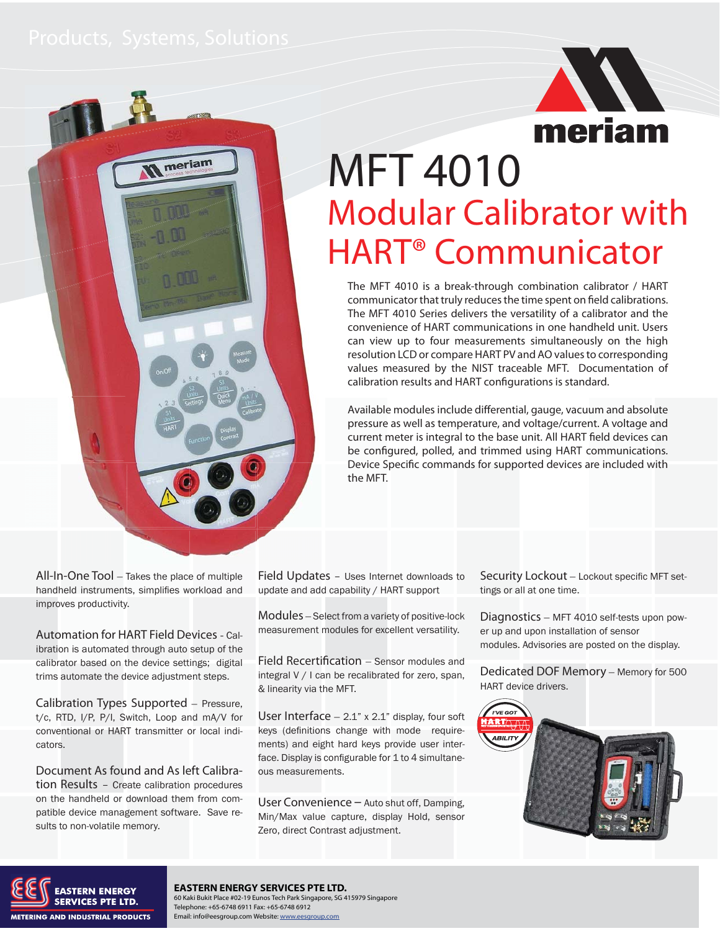meriam



# MFT 4010 Modular Calibrator with HART® Communicator

The MFT 4010 is a break-through combination calibrator / HART communicator that truly reduces the time spent on field calibrations. The MFT 4010 Series delivers the versatility of a calibrator and the convenience of HART communications in one handheld unit. Users can view up to four measurements simultaneously on the high resolution LCD or compare HART PV and AO values to corresponding values measured by the NIST traceable MFT. Documentation of calibration results and HART configurations is standard.

Available modules include differential, gauge, vacuum and absolute pressure as well as temperature, and voltage/current. A voltage and current meter is integral to the base unit. All HART field devices can be configured, polled, and trimmed using HART communications. Device Specific commands for supported devices are included with the MFT.

All-In-One Tool - Takes the place of multiple handheld instruments, simplifies workload and improves productivity.

Automation for HART Field Devices - Calibration is automated through auto setup of the calibrator based on the device settings; digital trims automate the device adjustment steps.

Calibration Types Supported - Pressure, t/c, RTD, I/P, P/I, Switch, Loop and mA/V for conventional or HART transmitter or local indicators.

Document As found and As left Calibration Results – Create calibration procedures on the handheld or download them from compatible device management software. Save results to non-volatile memory.

Field Updates – Uses Internet downloads to update and add capability / HART support

Modules - Select from a variety of positive-lock measurement modules for excellent versatility.

Field Recertification - Sensor modules and integral V / I can be recalibrated for zero, span, & linearity via the MFT.

User Interface  $-2.1$ " x 2.1" display, four soft keys (definitions change with mode requirements) and eight hard keys provide user interface. Display is configurable for 1 to 4 simultaneous measurements.

User Convenience – Auto shut off, Damping, Min/Max value capture, display Hold, sensor Zero, direct Contrast adjustment.

Security Lockout - Lockout specific MFT settings or all at one time.

Diagnostics - MFT 4010 self-tests upon power up and upon installation of sensor modules. Advisories are posted on the display.

Dedicated DOF Memory - Memory for 500 HART device drivers.





### **EASTERN ENERGY SERVICES PTE LTD.**

60 Kaki Bukit Place #02-19 Eunos Tech Park Singapore, SG 415979 Singapore Telephone: +65-6748 6911 Fax: +65-6748 6912 Email: info@eesgroup.com Website: www.eesgroup.com